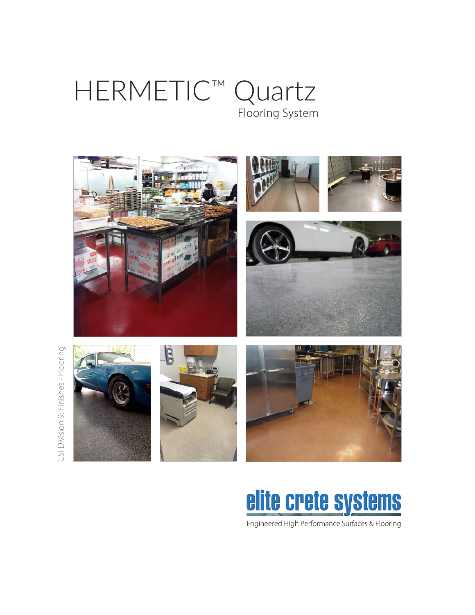# HERMETIC™ Quartz Flooring System





Engineered High Performance Surfaces & Flooring